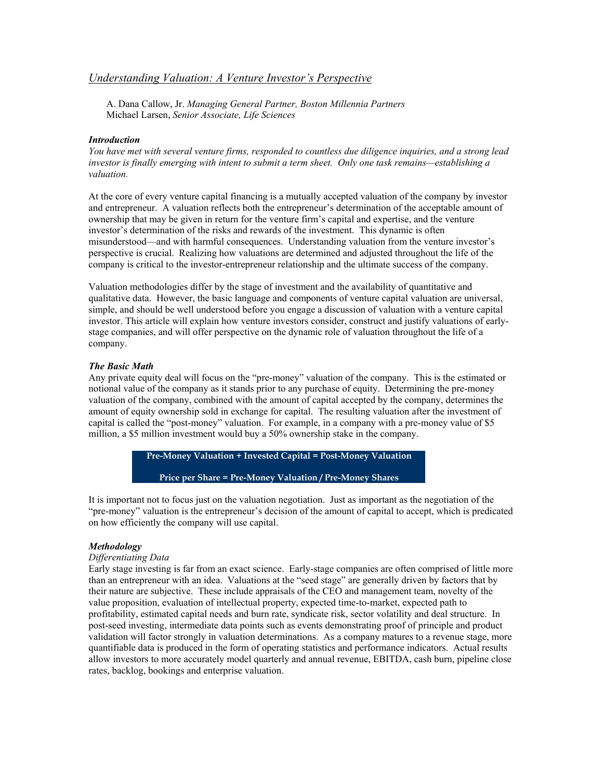# *Understanding Valuation: A Venture Investor's Perspective*

A. Dana Callow, Jr. *Managing General Partner, Boston Millennia Partners* Michael Larsen, *Senior Associate, Life Sciences*

### *Introduction*

*You have met with several venture firms, responded to countless due diligence inquiries, and a strong lead investor is finally emerging with intent to submit a term sheet. Only one task remains—establishing a valuation.* 

At the core of every venture capital financing is a mutually accepted valuation of the company by investor and entrepreneur. A valuation reflects both the entrepreneur's determination of the acceptable amount of ownership that may be given in return for the venture firm's capital and expertise, and the venture investor's determination of the risks and rewards of the investment. This dynamic is often misunderstood—and with harmful consequences. Understanding valuation from the venture investor's perspective is crucial. Realizing how valuations are determined and adjusted throughout the life of the company is critical to the investor-entrepreneur relationship and the ultimate success of the company.

Valuation methodologies differ by the stage of investment and the availability of quantitative and qualitative data. However, the basic language and components of venture capital valuation are universal, simple, and should be well understood before you engage a discussion of valuation with a venture capital investor. This article will explain how venture investors consider, construct and justify valuations of earlystage companies, and will offer perspective on the dynamic role of valuation throughout the life of a company.

### *The Basic Math*

Any private equity deal will focus on the "pre-money" valuation of the company. This is the estimated or notional value of the company as it stands prior to any purchase of equity. Determining the pre-money valuation of the company, combined with the amount of capital accepted by the company, determines the amount of equity ownership sold in exchange for capital. The resulting valuation after the investment of capital is called the "post-money" valuation. For example, in a company with a pre-money value of \$5 million, a \$5 million investment would buy a 50% ownership stake in the company.

> **Pre-Money Valuation + Invested Capital = Post-Money Valuation Price per Share = Pre-Money Valuation / Pre-Money Shares**

It is important not to focus just on the valuation negotiation. Just as important as the negotiation of the "pre-money" valuation is the entrepreneur's decision of the amount of capital to accept, which is predicated on how efficiently the company will use capital.

# *Methodology*

# *Differentiating Data*

Early stage investing is far from an exact science. Early-stage companies are often comprised of little more than an entrepreneur with an idea. Valuations at the "seed stage" are generally driven by factors that by their nature are subjective. These include appraisals of the CEO and management team, novelty of the value proposition, evaluation of intellectual property, expected time-to-market, expected path to profitability, estimated capital needs and burn rate, syndicate risk, sector volatility and deal structure. In post-seed investing, intermediate data points such as events demonstrating proof of principle and product validation will factor strongly in valuation determinations. As a company matures to a revenue stage, more quantifiable data is produced in the form of operating statistics and performance indicators. Actual results allow investors to more accurately model quarterly and annual revenue, EBITDA, cash burn, pipeline close rates, backlog, bookings and enterprise valuation.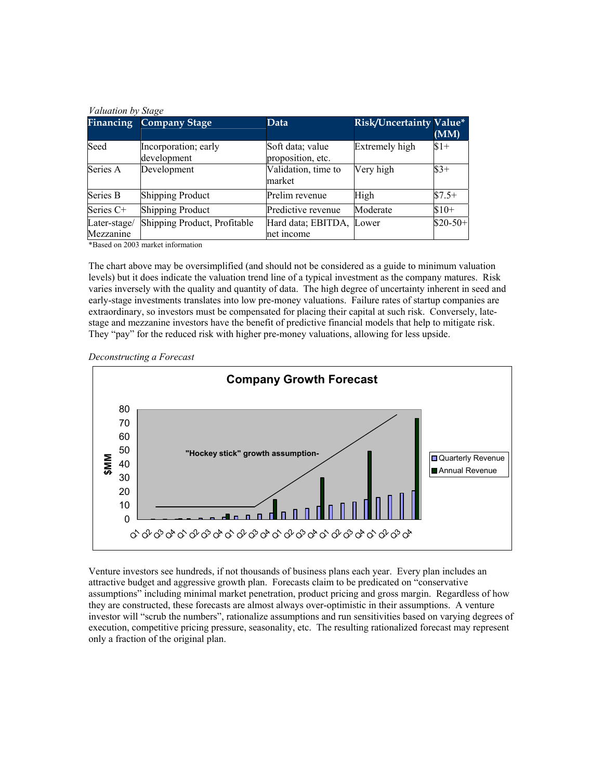|                           | <b>Financing Company Stage</b>      | <b>Data</b>                           | <b>Risk/Uncertainty Value*</b> | (MM)      |
|---------------------------|-------------------------------------|---------------------------------------|--------------------------------|-----------|
| Seed                      | Incorporation; early<br>development | Soft data; value<br>proposition, etc. | Extremely high                 | $$1+$     |
| Series A                  | Development                         | Validation, time to<br>market         | Very high                      | $$3+$     |
| Series B                  | <b>Shipping Product</b>             | Prelim revenue                        | High                           | $$7.5+$   |
| Series C+                 | <b>Shipping Product</b>             | Predictive revenue                    | Moderate                       | $$10+$    |
| Later-stage/<br>Mezzanine | Shipping Product, Profitable        | Hard data; EBITDA,<br>net income      | Lower                          | $$20-50+$ |

\*Based on 2003 market information

The chart above may be oversimplified (and should not be considered as a guide to minimum valuation levels) but it does indicate the valuation trend line of a typical investment as the company matures. Risk varies inversely with the quality and quantity of data. The high degree of uncertainty inherent in seed and early-stage investments translates into low pre-money valuations. Failure rates of startup companies are extraordinary, so investors must be compensated for placing their capital at such risk. Conversely, latestage and mezzanine investors have the benefit of predictive financial models that help to mitigate risk. They "pay" for the reduced risk with higher pre-money valuations, allowing for less upside.





Venture investors see hundreds, if not thousands of business plans each year. Every plan includes an attractive budget and aggressive growth plan. Forecasts claim to be predicated on "conservative assumptions" including minimal market penetration, product pricing and gross margin. Regardless of how they are constructed, these forecasts are almost always over-optimistic in their assumptions. A venture investor will "scrub the numbers", rationalize assumptions and run sensitivities based on varying degrees of execution, competitive pricing pressure, seasonality, etc. The resulting rationalized forecast may represent only a fraction of the original plan.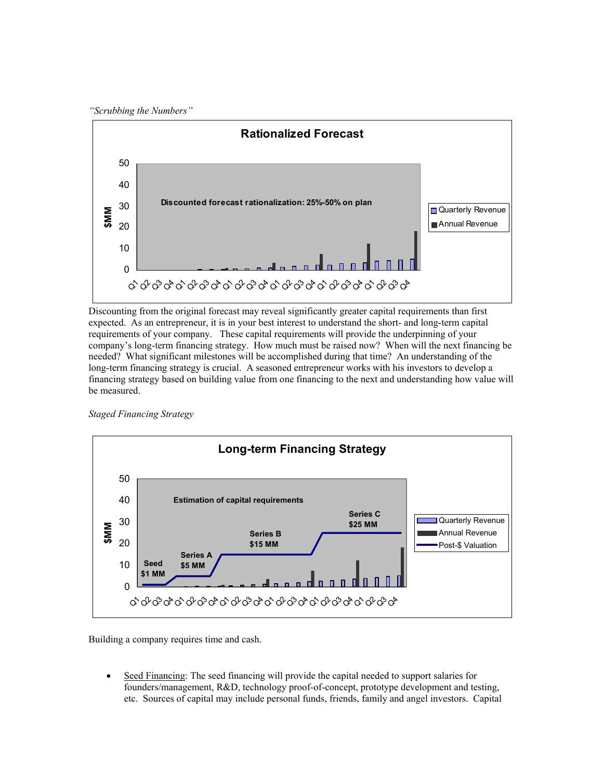*"Scrubbing the Numbers"*



Discounting from the original forecast may reveal significantly greater capital requirements than first expected. As an entrepreneur, it is in your best interest to understand the short- and long-term capital requirements of your company. These capital requirements will provide the underpinning of your company's long-term financing strategy. How much must be raised now? When will the next financing be needed? What significant milestones will be accomplished during that time? An understanding of the long-term financing strategy is crucial. A seasoned entrepreneur works with his investors to develop a financing strategy based on building value from one financing to the next and understanding how value will be measured.

*Staged Financing Strategy* 



Building a company requires time and cash.

Seed Financing: The seed financing will provide the capital needed to support salaries for founders/management, R&D, technology proof-of-concept, prototype development and testing, etc. Sources of capital may include personal funds, friends, family and angel investors. Capital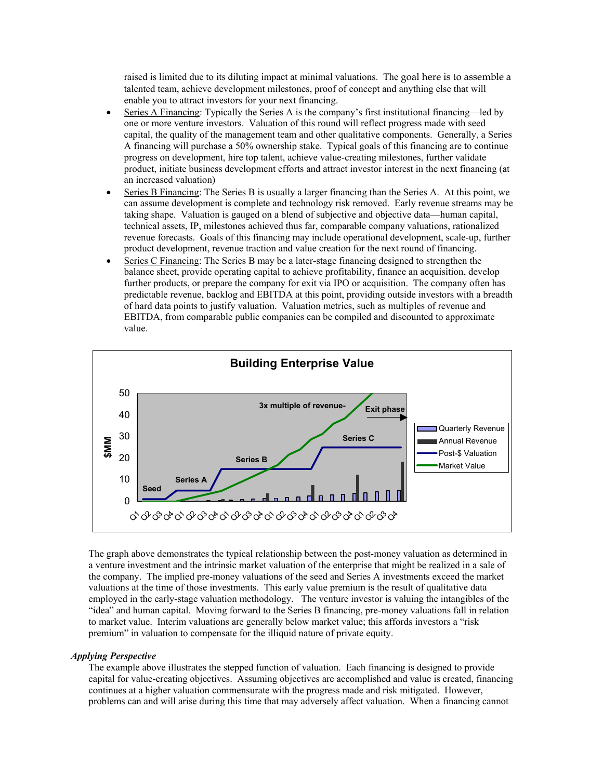raised is limited due to its diluting impact at minimal valuations. The goal here is to assemble a talented team, achieve development milestones, proof of concept and anything else that will enable you to attract investors for your next financing.

- Series A Financing: Typically the Series A is the company's first institutional financing—led by one or more venture investors. Valuation of this round will reflect progress made with seed capital, the quality of the management team and other qualitative components. Generally, a Series A financing will purchase a 50% ownership stake. Typical goals of this financing are to continue progress on development, hire top talent, achieve value-creating milestones, further validate product, initiate business development efforts and attract investor interest in the next financing (at an increased valuation)
- Series B Financing: The Series B is usually a larger financing than the Series A. At this point, we can assume development is complete and technology risk removed. Early revenue streams may be taking shape. Valuation is gauged on a blend of subjective and objective data—human capital, technical assets, IP, milestones achieved thus far, comparable company valuations, rationalized revenue forecasts. Goals of this financing may include operational development, scale-up, further product development, revenue traction and value creation for the next round of financing.
- Series C Financing: The Series B may be a later-stage financing designed to strengthen the balance sheet, provide operating capital to achieve profitability, finance an acquisition, develop further products, or prepare the company for exit via IPO or acquisition. The company often has predictable revenue, backlog and EBITDA at this point, providing outside investors with a breadth of hard data points to justify valuation. Valuation metrics, such as multiples of revenue and EBITDA, from comparable public companies can be compiled and discounted to approximate value.



The graph above demonstrates the typical relationship between the post-money valuation as determined in a venture investment and the intrinsic market valuation of the enterprise that might be realized in a sale of the company. The implied pre-money valuations of the seed and Series A investments exceed the market valuations at the time of those investments. This early value premium is the result of qualitative data employed in the early-stage valuation methodology. The venture investor is valuing the intangibles of the "idea" and human capital. Moving forward to the Series B financing, pre-money valuations fall in relation to market value. Interim valuations are generally below market value; this affords investors a "risk premium" in valuation to compensate for the illiquid nature of private equity.

#### *Applying Perspective*

The example above illustrates the stepped function of valuation. Each financing is designed to provide capital for value-creating objectives. Assuming objectives are accomplished and value is created, financing continues at a higher valuation commensurate with the progress made and risk mitigated. However, problems can and will arise during this time that may adversely affect valuation. When a financing cannot